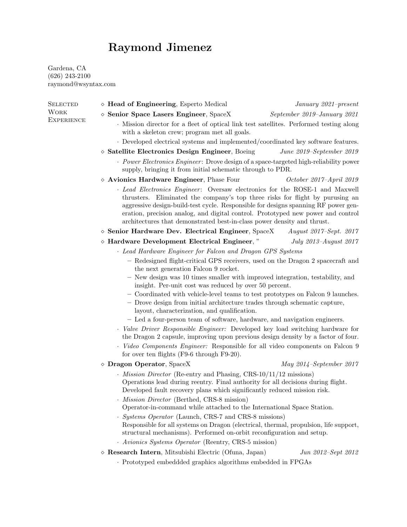## Raymond Jimenez

Gardena, CA (626) 243-2100 raymond@wsyntax.com

| <b>SELECTED</b>                  | $\diamond$ Head of Engineering, Esperto Medical                                                                                                                                                                                                                                                                                                                                                                   | January 2021-present        |  |  |
|----------------------------------|-------------------------------------------------------------------------------------------------------------------------------------------------------------------------------------------------------------------------------------------------------------------------------------------------------------------------------------------------------------------------------------------------------------------|-----------------------------|--|--|
| <b>WORK</b><br><b>EXPERIENCE</b> | $\diamond$ Senior Space Lasers Engineer, SpaceX                                                                                                                                                                                                                                                                                                                                                                   | September 2019-January 2021 |  |  |
|                                  | Mission director for a fleet of optical link test satellites. Performed testing along<br>with a skeleton crew; program met all goals.                                                                                                                                                                                                                                                                             |                             |  |  |
|                                  | Developed electrical systems and implemented/coordinated key software features.                                                                                                                                                                                                                                                                                                                                   |                             |  |  |
|                                  | $\diamond$ Satellite Electronics Design Engineer, Boeing                                                                                                                                                                                                                                                                                                                                                          | June 2019-September 2019    |  |  |
|                                  | · Power Electronics Engineer: Drove design of a space-targeted high-reliability power<br>supply, bringing it from initial schematic through to PDR.                                                                                                                                                                                                                                                               |                             |  |  |
|                                  | $\diamond$ Avionics Hardware Engineer, Phase Four                                                                                                                                                                                                                                                                                                                                                                 | October 2017-April 2019     |  |  |
|                                  | · Lead Electronics Engineer: Oversaw electronics for the ROSE-1 and Maxwell<br>thrusters. Eliminated the company's top three risks for flight by purusing an<br>aggressive design-build-test cycle. Responsible for designs spanning RF power gen-<br>eration, precision analog, and digital control. Prototyped new power and control<br>architectures that demonstrated best-in-class power density and thrust. |                             |  |  |
|                                  | $\diamond$ Senior Hardware Dev. Electrical Engineer, SpaceX                                                                                                                                                                                                                                                                                                                                                       | August 2017–Sept. 2017      |  |  |
|                                  | $\diamond$ Hardware Development Electrical Engineer,"                                                                                                                                                                                                                                                                                                                                                             | July 2013-August 2017       |  |  |
|                                  | · Lead Hardware Engineer for Falcon and Dragon GPS Systems                                                                                                                                                                                                                                                                                                                                                        |                             |  |  |
|                                  | - Redesigned flight-critical GPS receivers, used on the Dragon 2 spacecraft and<br>the next generation Falcon 9 rocket.                                                                                                                                                                                                                                                                                           |                             |  |  |
|                                  | - New design was 10 times smaller with improved integration, testability, and<br>insight. Per-unit cost was reduced by over 50 percent.                                                                                                                                                                                                                                                                           |                             |  |  |
|                                  | - Coordinated with vehicle-level teams to test prototypes on Falcon 9 launches.<br>- Drove design from initial architecture trades through schematic capture,<br>layout, characterization, and qualification.                                                                                                                                                                                                     |                             |  |  |
|                                  | - Led a four-person team of software, hardware, and navigation engineers.                                                                                                                                                                                                                                                                                                                                         |                             |  |  |
|                                  | · Valve Driver Responsible Engineer: Developed key load switching hardware for<br>the Dragon 2 capsule, improving upon previous design density by a factor of four.                                                                                                                                                                                                                                               |                             |  |  |
|                                  | · Video Components Engineer: Responsible for all video components on Falcon 9<br>for over ten flights (F9-6 through F9-20).                                                                                                                                                                                                                                                                                       |                             |  |  |
|                                  | $\diamond$ Dragon Operator, SpaceX                                                                                                                                                                                                                                                                                                                                                                                | May $2014$ -September 2017  |  |  |
|                                  | $\cdot$ <i>Mission Director</i> (Re-entry and Phasing, CRS-10/11/12 missions)<br>Operations lead during reentry. Final authority for all decisions during flight.<br>Developed fault recovery plans which significantly reduced mission risk.                                                                                                                                                                     |                             |  |  |
|                                  | <i>Mission Director</i> (Berthed, CRS-8 mission)<br>Operator-in-command while attached to the International Space Station.                                                                                                                                                                                                                                                                                        |                             |  |  |
|                                  | · Systems Operator (Launch, CRS-7 and CRS-8 missions)<br>Responsible for all systems on Dragon (electrical, thermal, propulsion, life support,<br>structural mechanisms). Performed on-orbit reconfiguration and setup.<br>· Avionics Systems Operator (Reentry, CRS-5 mission)                                                                                                                                   |                             |  |  |
|                                  | $\diamond$ Research Intern, Mitsubishi Electric (Ofuna, Japan)                                                                                                                                                                                                                                                                                                                                                    | Jun 2012-Sept 2012          |  |  |
|                                  | · Prototyped embeddded graphics algorithms embedded in FPGAs                                                                                                                                                                                                                                                                                                                                                      |                             |  |  |